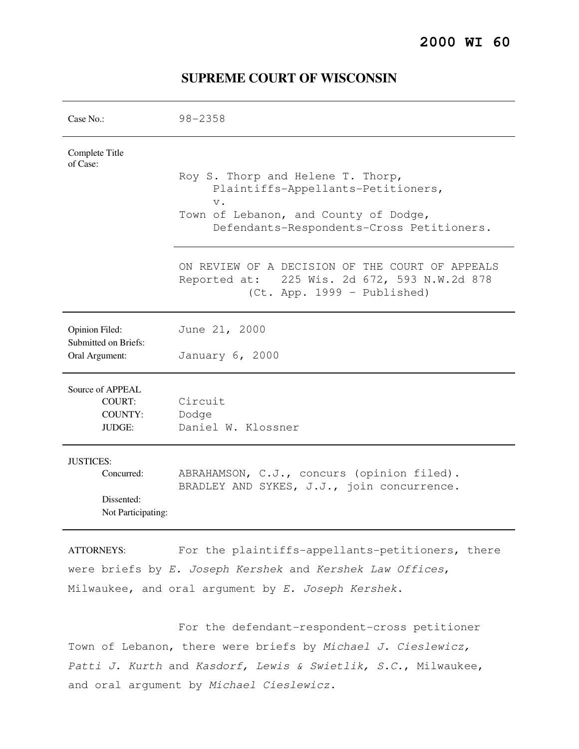# **2000 WI 60**

| Case $No.$ :                                                       | $98 - 2358$                                                                                                                                                            |
|--------------------------------------------------------------------|------------------------------------------------------------------------------------------------------------------------------------------------------------------------|
| Complete Title<br>of Case:                                         | Roy S. Thorp and Helene T. Thorp,<br>Plaintiffs-Appellants-Petitioners,<br>$V$ .<br>Town of Lebanon, and County of Dodge,<br>Defendants-Respondents-Cross Petitioners. |
|                                                                    | ON REVIEW OF A DECISION OF THE COURT OF APPEALS<br>Reported at: 225 Wis. 2d 672, 593 N.W.2d 878<br>(Ct. App. 1999 - Published)                                         |
| Opinion Filed:<br>Submitted on Briefs:<br>Oral Argument:           | June 21, 2000<br>January 6, 2000                                                                                                                                       |
| Source of APPEAL<br><b>COURT:</b><br>COUNTY:<br><b>JUDGE:</b>      | Circuit<br>Dodge<br>Daniel W. Klossner                                                                                                                                 |
| <b>JUSTICES:</b><br>Concurred:<br>Dissented:<br>Not Participating: | ABRAHAMSON, C.J., concurs (opinion filed).<br>BRADLEY AND SYKES, J.J., join concurrence.                                                                               |

# **SUPREME COURT OF WISCONSIN**

ATTORNEYS: For the plaintiffs-appellants-petitioners, there were briefs by E. Joseph Kershek and Kershek Law Offices, Milwaukee, and oral argument by E. Joseph Kershek.

 For the defendant-respondent-cross petitioner Town of Lebanon, there were briefs by Michael J. Cieslewicz, Patti J. Kurth and Kasdorf, Lewis & Swietlik, S.C., Milwaukee, and oral argument by Michael Cieslewicz.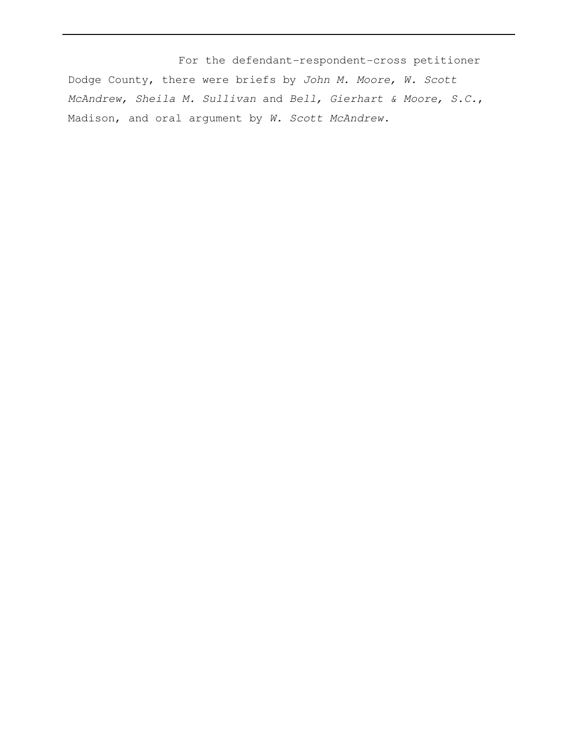For the defendant-respondent-cross petitioner Dodge County, there were briefs by John M. Moore, W. Scott McAndrew, Sheila M. Sullivan and Bell, Gierhart & Moore, S.C., Madison, and oral argument by W. Scott McAndrew.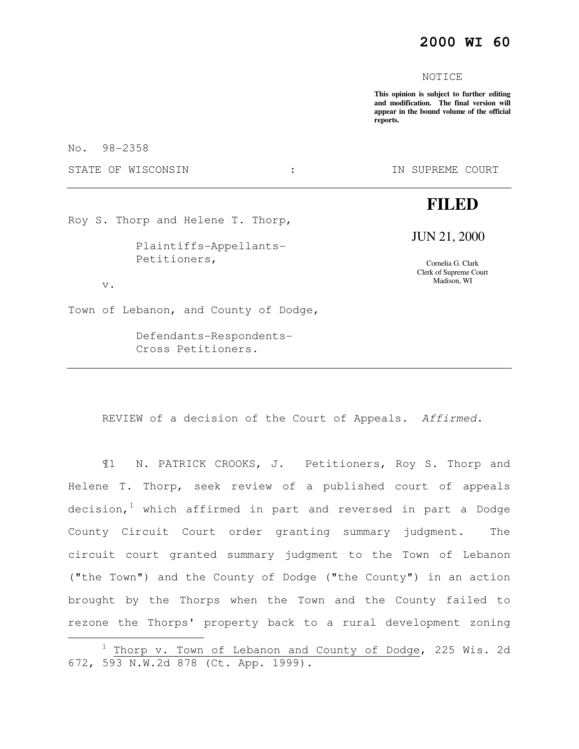# **2000 WI 60**

#### NOTICE

**This opinion is subject to further editing and modification. The final version will appear in the bound volume of the official reports.** 

No. 98-2358

STATE OF WISCONSIN  $\cdot$  is the supprement of the SUPREME COURT

# **FILED**

JUN 21, 2000

Cornelia G. Clark Clerk of Supreme Court Madison, WI

v.

e<br>S

Town of Lebanon, and County of Dodge,

Roy S. Thorp and Helene T. Thorp,

Petitioners,

 Defendants-Respondents- Cross Petitioners.

Plaintiffs-Appellants-

REVIEW of a decision of the Court of Appeals. Affirmed.

¶1 N. PATRICK CROOKS, J. Petitioners, Roy S. Thorp and Helene T. Thorp, seek review of a published court of appeals decision,<sup>1</sup> which affirmed in part and reversed in part a Dodge County Circuit Court order granting summary judgment. The circuit court granted summary judgment to the Town of Lebanon ("the Town") and the County of Dodge ("the County") in an action brought by the Thorps when the Town and the County failed to rezone the Thorps' property back to a rural development zoning

 $1$  Thorp v. Town of Lebanon and County of Dodge, 225 Wis. 2d 672, 593 N.W.2d 878 (Ct. App. 1999).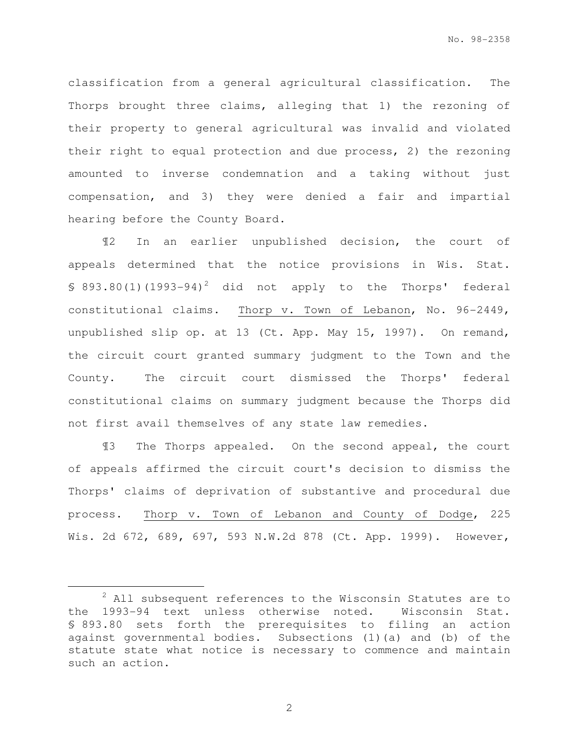classification from a general agricultural classification. The Thorps brought three claims, alleging that 1) the rezoning of their property to general agricultural was invalid and violated their right to equal protection and due process, 2) the rezoning amounted to inverse condemnation and a taking without just compensation, and 3) they were denied a fair and impartial hearing before the County Board.

¶2 In an earlier unpublished decision, the court of appeals determined that the notice provisions in Wis. Stat.  $$893.80(1)(1993-94)^2$$  did not apply to the Thorps' federal constitutional claims. Thorp v. Town of Lebanon, No. 96-2449, unpublished slip op. at 13 (Ct. App. May 15, 1997). On remand, the circuit court granted summary judgment to the Town and the County. The circuit court dismissed the Thorps' federal constitutional claims on summary judgment because the Thorps did not first avail themselves of any state law remedies.

¶3 The Thorps appealed. On the second appeal, the court of appeals affirmed the circuit court's decision to dismiss the Thorps' claims of deprivation of substantive and procedural due process. Thorp v. Town of Lebanon and County of Dodge, 225 Wis. 2d 672, 689, 697, 593 N.W.2d 878 (Ct. App. 1999). However,

e<br>S

 $2$  All subsequent references to the Wisconsin Statutes are to the 1993-94 text unless otherwise noted. Wisconsin Stat. § 893.80 sets forth the prerequisites to filing an action against governmental bodies. Subsections (1)(a) and (b) of the statute state what notice is necessary to commence and maintain such an action.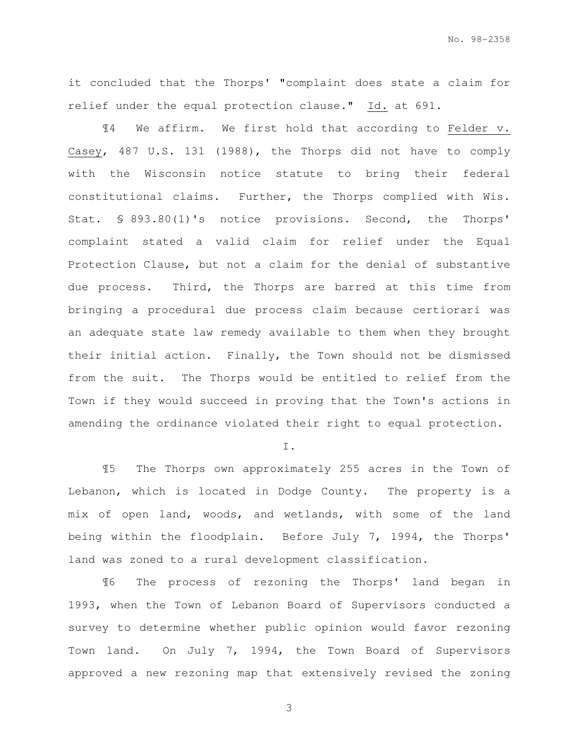it concluded that the Thorps' "complaint does state a claim for relief under the equal protection clause." Id. at 691.

¶4 We affirm. We first hold that according to Felder v. Casey, 487 U.S. 131 (1988), the Thorps did not have to comply with the Wisconsin notice statute to bring their federal constitutional claims. Further, the Thorps complied with Wis. Stat. § 893.80(1)'s notice provisions. Second, the Thorps' complaint stated a valid claim for relief under the Equal Protection Clause, but not a claim for the denial of substantive due process. Third, the Thorps are barred at this time from bringing a procedural due process claim because certiorari was an adequate state law remedy available to them when they brought their initial action. Finally, the Town should not be dismissed from the suit. The Thorps would be entitled to relief from the Town if they would succeed in proving that the Town's actions in amending the ordinance violated their right to equal protection.

I.

 ¶5 The Thorps own approximately 255 acres in the Town of Lebanon, which is located in Dodge County. The property is a mix of open land, woods, and wetlands, with some of the land being within the floodplain. Before July 7, 1994, the Thorps' land was zoned to a rural development classification.

 ¶6 The process of rezoning the Thorps' land began in 1993, when the Town of Lebanon Board of Supervisors conducted a survey to determine whether public opinion would favor rezoning Town land. On July 7, 1994, the Town Board of Supervisors approved a new rezoning map that extensively revised the zoning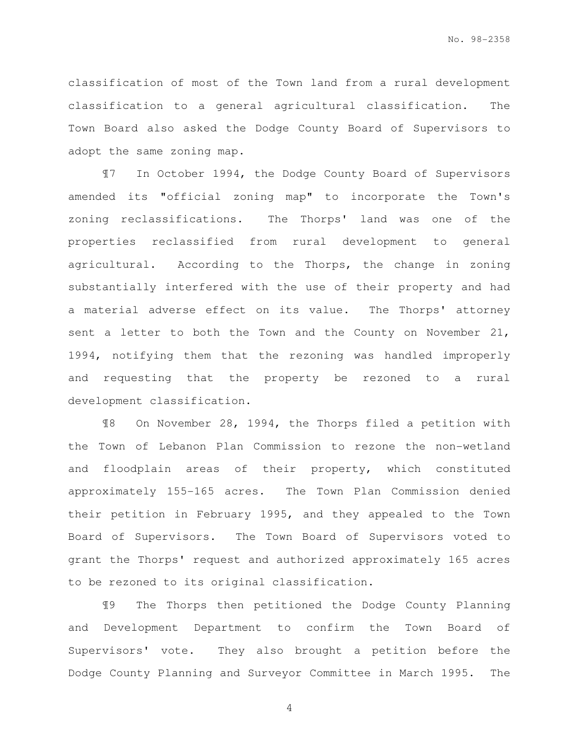classification of most of the Town land from a rural development classification to a general agricultural classification. The Town Board also asked the Dodge County Board of Supervisors to adopt the same zoning map.

 ¶7 In October 1994, the Dodge County Board of Supervisors amended its "official zoning map" to incorporate the Town's zoning reclassifications. The Thorps' land was one of the properties reclassified from rural development to general agricultural. According to the Thorps, the change in zoning substantially interfered with the use of their property and had a material adverse effect on its value. The Thorps' attorney sent a letter to both the Town and the County on November 21, 1994, notifying them that the rezoning was handled improperly and requesting that the property be rezoned to a rural development classification.

 ¶8 On November 28, 1994, the Thorps filed a petition with the Town of Lebanon Plan Commission to rezone the non-wetland and floodplain areas of their property, which constituted approximately 155-165 acres. The Town Plan Commission denied their petition in February 1995, and they appealed to the Town Board of Supervisors. The Town Board of Supervisors voted to grant the Thorps' request and authorized approximately 165 acres to be rezoned to its original classification.

¶9 The Thorps then petitioned the Dodge County Planning and Development Department to confirm the Town Board of Supervisors' vote. They also brought a petition before the Dodge County Planning and Surveyor Committee in March 1995. The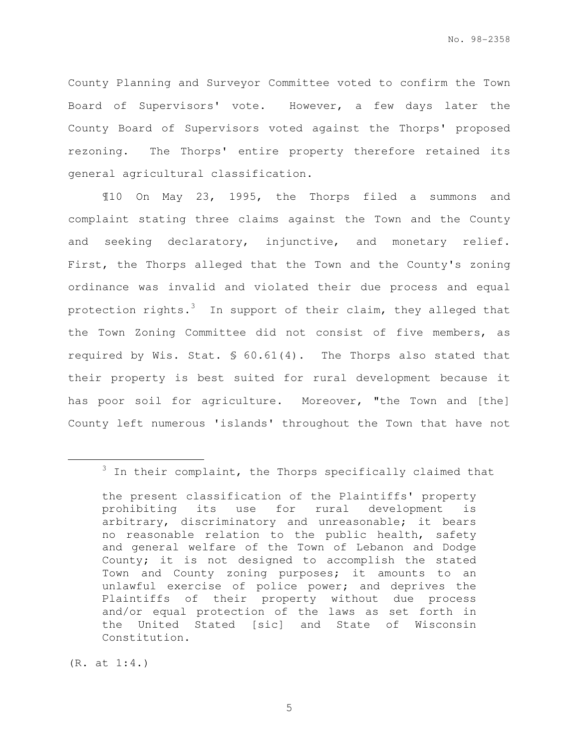County Planning and Surveyor Committee voted to confirm the Town Board of Supervisors' vote. However, a few days later the County Board of Supervisors voted against the Thorps' proposed rezoning. The Thorps' entire property therefore retained its general agricultural classification.

 ¶10 On May 23, 1995, the Thorps filed a summons and complaint stating three claims against the Town and the County and seeking declaratory, injunctive, and monetary relief. First, the Thorps alleged that the Town and the County's zoning ordinance was invalid and violated their due process and equal protection rights. $3$  In support of their claim, they alleged that the Town Zoning Committee did not consist of five members, as required by Wis. Stat. § 60.61(4). The Thorps also stated that their property is best suited for rural development because it has poor soil for agriculture. Moreover, "the Town and [the] County left numerous 'islands' throughout the Town that have not

(R. at 1:4.)

e<br>S

 $3$  In their complaint, the Thorps specifically claimed that

the present classification of the Plaintiffs' property prohibiting its use for rural development is arbitrary, discriminatory and unreasonable; it bears no reasonable relation to the public health, safety and general welfare of the Town of Lebanon and Dodge County; it is not designed to accomplish the stated Town and County zoning purposes; it amounts to an unlawful exercise of police power; and deprives the Plaintiffs of their property without due process and/or equal protection of the laws as set forth in the United Stated [sic] and State of Wisconsin Constitution.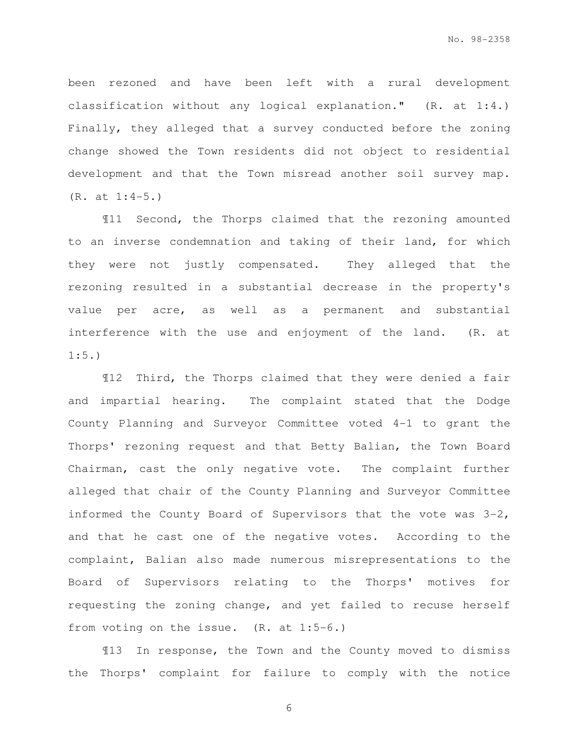been rezoned and have been left with a rural development classification without any logical explanation." (R. at 1:4.) Finally, they alleged that a survey conducted before the zoning change showed the Town residents did not object to residential development and that the Town misread another soil survey map. (R. at 1:4-5.)

¶11 Second, the Thorps claimed that the rezoning amounted to an inverse condemnation and taking of their land, for which they were not justly compensated. They alleged that the rezoning resulted in a substantial decrease in the property's value per acre, as well as a permanent and substantial interference with the use and enjoyment of the land. (R. at  $1:5.$ )

¶12 Third, the Thorps claimed that they were denied a fair and impartial hearing. The complaint stated that the Dodge County Planning and Surveyor Committee voted 4-1 to grant the Thorps' rezoning request and that Betty Balian, the Town Board Chairman, cast the only negative vote. The complaint further alleged that chair of the County Planning and Surveyor Committee informed the County Board of Supervisors that the vote was 3-2, and that he cast one of the negative votes. According to the complaint, Balian also made numerous misrepresentations to the Board of Supervisors relating to the Thorps' motives for requesting the zoning change, and yet failed to recuse herself from voting on the issue. (R. at 1:5-6.)

 ¶13 In response, the Town and the County moved to dismiss the Thorps' complaint for failure to comply with the notice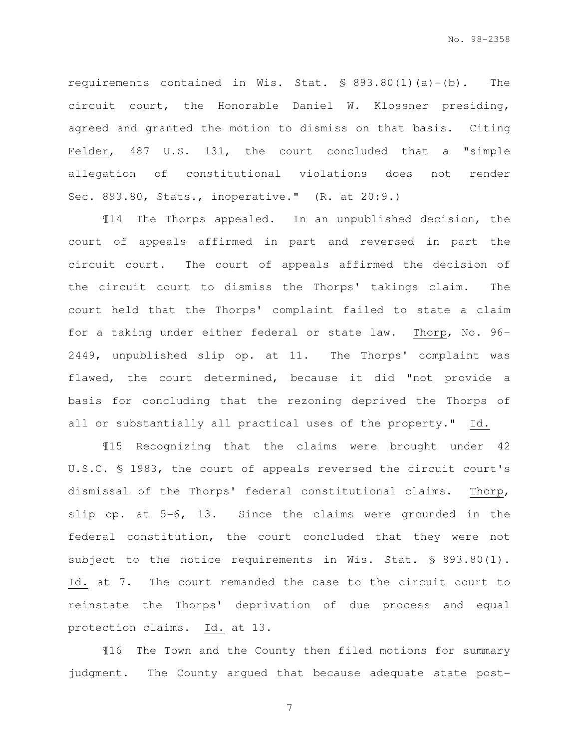requirements contained in Wis. Stat. § 893.80(1)(a)-(b). The circuit court, the Honorable Daniel W. Klossner presiding, agreed and granted the motion to dismiss on that basis. Citing Felder, 487 U.S. 131, the court concluded that a "simple allegation of constitutional violations does not render Sec. 893.80, Stats., inoperative." (R. at 20:9.)

 ¶14 The Thorps appealed. In an unpublished decision, the court of appeals affirmed in part and reversed in part the circuit court. The court of appeals affirmed the decision of the circuit court to dismiss the Thorps' takings claim. The court held that the Thorps' complaint failed to state a claim for a taking under either federal or state law. Thorp, No. 96- 2449, unpublished slip op. at 11. The Thorps' complaint was flawed, the court determined, because it did "not provide a basis for concluding that the rezoning deprived the Thorps of all or substantially all practical uses of the property." Id.

¶15 Recognizing that the claims were brought under 42 U.S.C. § 1983, the court of appeals reversed the circuit court's dismissal of the Thorps' federal constitutional claims. Thorp, slip op. at 5-6, 13. Since the claims were grounded in the federal constitution, the court concluded that they were not subject to the notice requirements in Wis. Stat. § 893.80(1). Id. at 7. The court remanded the case to the circuit court to reinstate the Thorps' deprivation of due process and equal protection claims. Id. at 13.

 ¶16 The Town and the County then filed motions for summary judgment. The County argued that because adequate state post-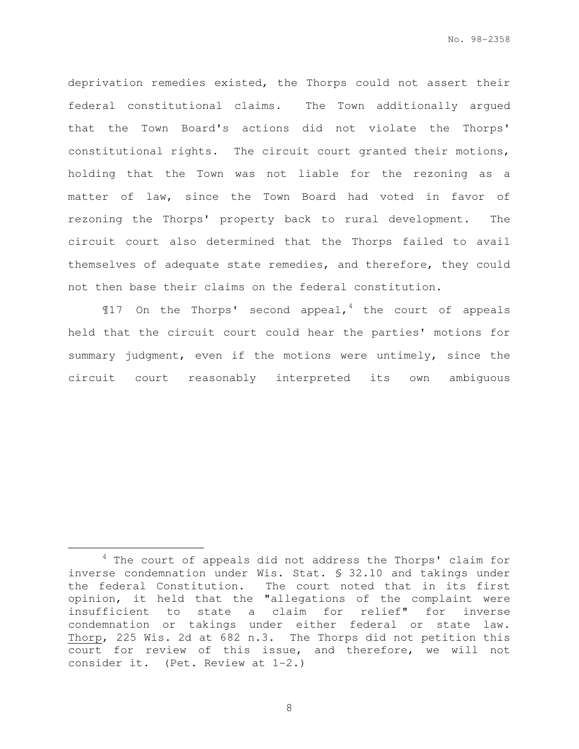deprivation remedies existed, the Thorps could not assert their federal constitutional claims. The Town additionally argued that the Town Board's actions did not violate the Thorps' constitutional rights. The circuit court granted their motions, holding that the Town was not liable for the rezoning as a matter of law, since the Town Board had voted in favor of rezoning the Thorps' property back to rural development. The circuit court also determined that the Thorps failed to avail themselves of adequate state remedies, and therefore, they could not then base their claims on the federal constitution.

 $\text{I}17$  On the Thorps' second appeal,<sup>4</sup> the court of appeals held that the circuit court could hear the parties' motions for summary judgment, even if the motions were untimely, since the circuit court reasonably interpreted its own ambiguous

e<br>S

<sup>&</sup>lt;sup>4</sup> The court of appeals did not address the Thorps' claim for inverse condemnation under Wis. Stat. § 32.10 and takings under the federal Constitution. The court noted that in its first opinion, it held that the "allegations of the complaint were insufficient to state a claim for relief" for inverse condemnation or takings under either federal or state law. Thorp, 225 Wis. 2d at 682 n.3. The Thorps did not petition this court for review of this issue, and therefore, we will not consider it. (Pet. Review at 1-2.)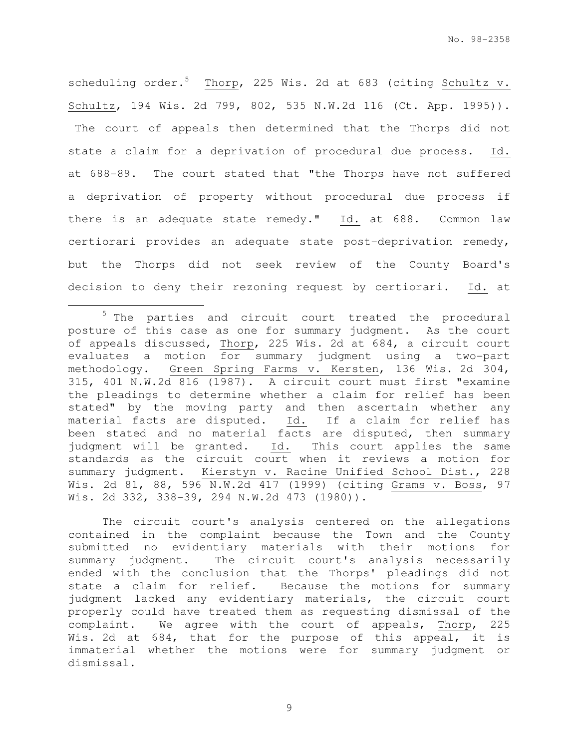scheduling order.<sup>5</sup> Thorp, 225 Wis. 2d at 683 (citing Schultz v. Schultz, 194 Wis. 2d 799, 802, 535 N.W.2d 116 (Ct. App. 1995)). The court of appeals then determined that the Thorps did not state a claim for a deprivation of procedural due process. Id. at 688-89. The court stated that "the Thorps have not suffered a deprivation of property without procedural due process if there is an adequate state remedy." Id. at 688. Common law certiorari provides an adequate state post-deprivation remedy, but the Thorps did not seek review of the County Board's decision to deny their rezoning request by certiorari. Id. at

e<br>S

The circuit court's analysis centered on the allegations contained in the complaint because the Town and the County submitted no evidentiary materials with their motions for summary judgment. The circuit court's analysis necessarily ended with the conclusion that the Thorps' pleadings did not state a claim for relief. Because the motions for summary judgment lacked any evidentiary materials, the circuit court properly could have treated them as requesting dismissal of the complaint. We agree with the court of appeals, Thorp, 225 Wis. 2d at 684, that for the purpose of this appeal, it is immaterial whether the motions were for summary judgment or dismissal.

<sup>&</sup>lt;sup>5</sup> The parties and circuit court treated the procedural posture of this case as one for summary judgment. As the court of appeals discussed, Thorp, 225 Wis. 2d at 684, a circuit court evaluates a motion for summary judgment using a two-part methodology. Green Spring Farms v. Kersten, 136 Wis. 2d 304, 315, 401 N.W.2d 816 (1987). A circuit court must first "examine the pleadings to determine whether a claim for relief has been stated" by the moving party and then ascertain whether any material facts are disputed. Id. If a claim for relief has been stated and no material facts are disputed, then summary judgment will be granted.  $Id.$  This court applies the same standards as the circuit court when it reviews a motion for summary judgment. Kierstyn v. Racine Unified School Dist., 228 Wis. 2d 81, 88, 596 N.W.2d 417 (1999) (citing Grams v. Boss, 97 Wis. 2d 332, 338-39, 294 N.W.2d 473 (1980)).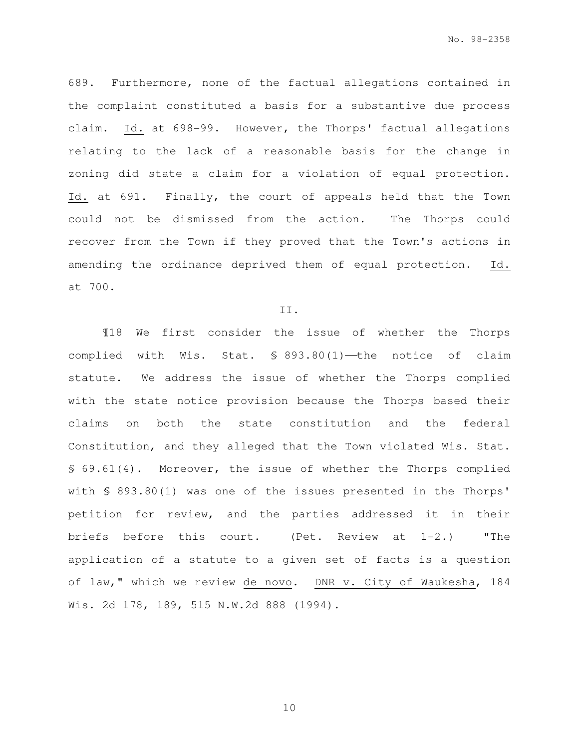689. Furthermore, none of the factual allegations contained in the complaint constituted a basis for a substantive due process claim. Id. at 698-99. However, the Thorps' factual allegations relating to the lack of a reasonable basis for the change in zoning did state a claim for a violation of equal protection. Id. at 691. Finally, the court of appeals held that the Town could not be dismissed from the action. The Thorps could recover from the Town if they proved that the Town's actions in amending the ordinance deprived them of equal protection. Id. at 700.

#### II.

 ¶18 We first consider the issue of whether the Thorps complied with Wis. Stat.  $\text{\$ } 893.80(1)$ -the notice of claim statute. We address the issue of whether the Thorps complied with the state notice provision because the Thorps based their claims on both the state constitution and the federal Constitution, and they alleged that the Town violated Wis. Stat. § 69.61(4). Moreover, the issue of whether the Thorps complied with § 893.80(1) was one of the issues presented in the Thorps' petition for review, and the parties addressed it in their briefs before this court. (Pet. Review at 1-2.) "The application of a statute to a given set of facts is a question of law," which we review de novo. DNR v. City of Waukesha, 184 Wis. 2d 178, 189, 515 N.W.2d 888 (1994).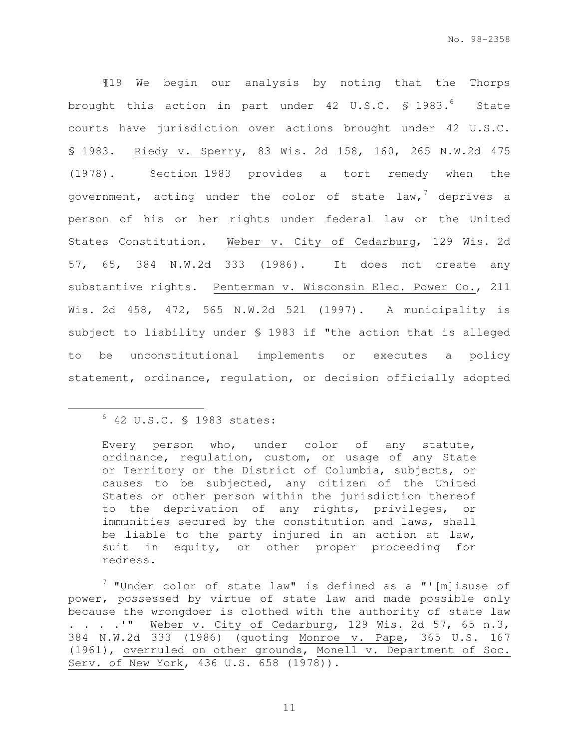¶19 We begin our analysis by noting that the Thorps brought this action in part under  $42$  U.S.C.  $\frac{1}{9}$  1983.<sup>6</sup> State courts have jurisdiction over actions brought under 42 U.S.C. § 1983. Riedy v. Sperry, 83 Wis. 2d 158, 160, 265 N.W.2d 475 (1978). Section 1983 provides a tort remedy when the government, acting under the color of state law, deprives a person of his or her rights under federal law or the United States Constitution. Weber v. City of Cedarburg, 129 Wis. 2d 57, 65, 384 N.W.2d 333 (1986). It does not create any substantive rights. Penterman v. Wisconsin Elec. Power Co., 211 Wis. 2d 458, 472, 565 N.W.2d 521 (1997). A municipality is subject to liability under § 1983 if "the action that is alleged to be unconstitutional implements or executes a policy statement, ordinance, regulation, or decision officially adopted

e<br>S

 $7$  "Under color of state law" is defined as a "'[m]isuse of power, possessed by virtue of state law and made possible only because the wrongdoer is clothed with the authority of state law . . . .'" Weber v. City of Cedarburg, 129 Wis. 2d 57, 65 n.3, 384 N.W.2d 333 (1986) (quoting Monroe v. Pape, 365 U.S. 167 (1961), overruled on other grounds, Monell v. Department of Soc. Serv. of New York, 436 U.S. 658 (1978)).

 $6$  42 U.S.C. § 1983 states:

Every person who, under color of any statute, ordinance, regulation, custom, or usage of any State or Territory or the District of Columbia, subjects, or causes to be subjected, any citizen of the United States or other person within the jurisdiction thereof to the deprivation of any rights, privileges, or immunities secured by the constitution and laws, shall be liable to the party injured in an action at law, suit in equity, or other proper proceeding for redress.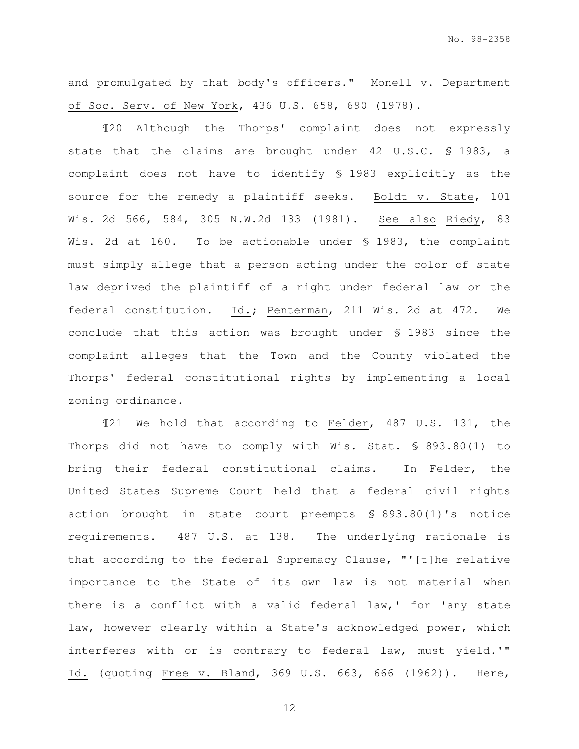and promulgated by that body's officers." Monell v. Department of Soc. Serv. of New York, 436 U.S. 658, 690 (1978).

¶20 Although the Thorps' complaint does not expressly state that the claims are brought under 42 U.S.C. § 1983, a complaint does not have to identify § 1983 explicitly as the source for the remedy a plaintiff seeks. Boldt v. State, 101 Wis. 2d 566, 584, 305 N.W.2d 133 (1981). See also Riedy, 83 Wis. 2d at 160. To be actionable under § 1983, the complaint must simply allege that a person acting under the color of state law deprived the plaintiff of a right under federal law or the federal constitution. Id.; Penterman, 211 Wis. 2d at 472. We conclude that this action was brought under § 1983 since the complaint alleges that the Town and the County violated the Thorps' federal constitutional rights by implementing a local zoning ordinance.

¶21 We hold that according to Felder, 487 U.S. 131, the Thorps did not have to comply with Wis. Stat. § 893.80(1) to bring their federal constitutional claims. In Felder, the United States Supreme Court held that a federal civil rights action brought in state court preempts § 893.80(1)'s notice requirements. 487 U.S. at 138. The underlying rationale is that according to the federal Supremacy Clause, "'[t]he relative importance to the State of its own law is not material when there is a conflict with a valid federal law,' for 'any state law, however clearly within a State's acknowledged power, which interferes with or is contrary to federal law, must yield.'" Id. (quoting Free v. Bland, 369 U.S. 663, 666 (1962)). Here,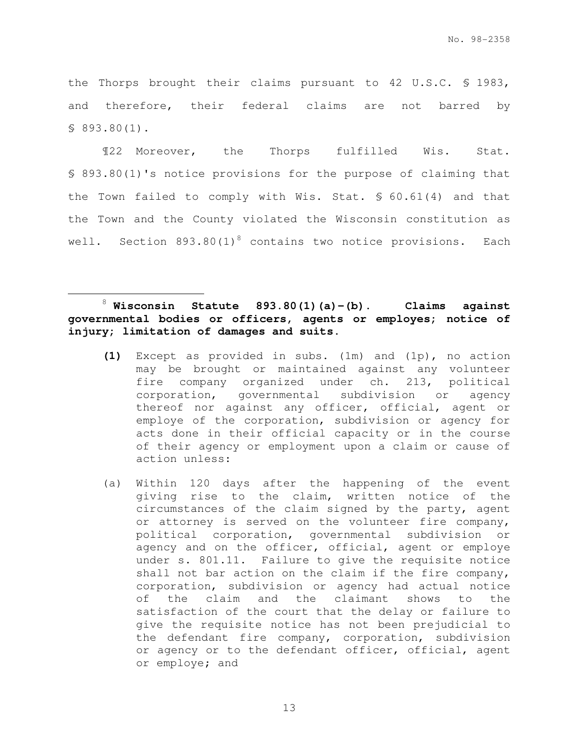the Thorps brought their claims pursuant to 42 U.S.C. § 1983, and therefore, their federal claims are not barred by § 893.80(1).

¶22 Moreover, the Thorps fulfilled Wis. Stat. § 893.80(1)'s notice provisions for the purpose of claiming that the Town failed to comply with Wis. Stat. § 60.61(4) and that the Town and the County violated the Wisconsin constitution as well. Section  $893.80(1)^8$  contains two notice provisions. Each

<sup>8</sup> **Wisconsin Statute 893.80(1)(a)-(b). Claims against governmental bodies or officers, agents or employes; notice of injury; limitation of damages and suits.** 

e<br>S

- **(1)** Except as provided in subs. (1m) and (1p), no action may be brought or maintained against any volunteer fire company organized under ch. 213, political corporation, governmental subdivision or agency thereof nor against any officer, official, agent or employe of the corporation, subdivision or agency for acts done in their official capacity or in the course of their agency or employment upon a claim or cause of action unless:
- (a) Within 120 days after the happening of the event giving rise to the claim, written notice of the circumstances of the claim signed by the party, agent or attorney is served on the volunteer fire company, political corporation, governmental subdivision or agency and on the officer, official, agent or employe under s. 801.11. Failure to give the requisite notice shall not bar action on the claim if the fire company, corporation, subdivision or agency had actual notice of the claim and the claimant shows to the satisfaction of the court that the delay or failure to give the requisite notice has not been prejudicial to the defendant fire company, corporation, subdivision or agency or to the defendant officer, official, agent or employe; and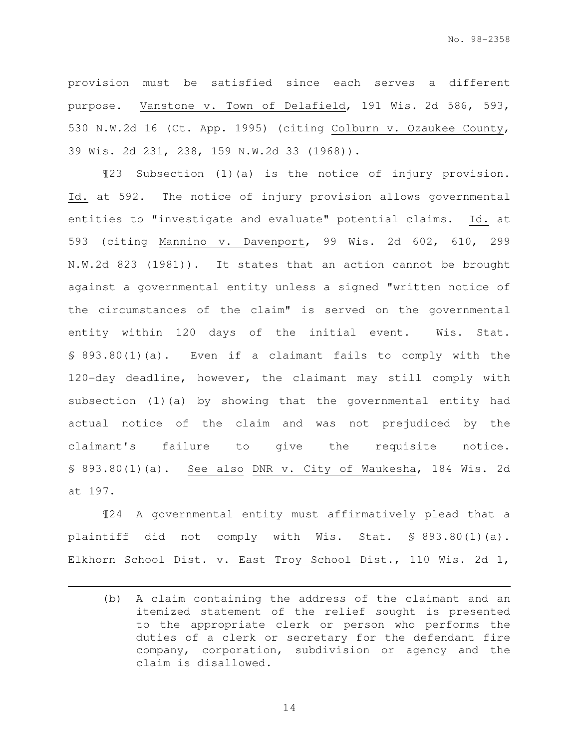provision must be satisfied since each serves a different purpose. Vanstone v. Town of Delafield, 191 Wis. 2d 586, 593, 530 N.W.2d 16 (Ct. App. 1995) (citing Colburn v. Ozaukee County, 39 Wis. 2d 231, 238, 159 N.W.2d 33 (1968)).

¶23 Subsection (1)(a) is the notice of injury provision. Id. at 592. The notice of injury provision allows governmental entities to "investigate and evaluate" potential claims. Id. at 593 (citing Mannino v. Davenport, 99 Wis. 2d 602, 610, 299 N.W.2d 823 (1981)). It states that an action cannot be brought against a governmental entity unless a signed "written notice of the circumstances of the claim" is served on the governmental entity within 120 days of the initial event. Wis. Stat. § 893.80(1)(a). Even if a claimant fails to comply with the 120-day deadline, however, the claimant may still comply with subsection (1)(a) by showing that the governmental entity had actual notice of the claim and was not prejudiced by the claimant's failure to give the requisite notice. § 893.80(1)(a). See also DNR v. City of Waukesha, 184 Wis. 2d at 197.

¶24 A governmental entity must affirmatively plead that a plaintiff did not comply with Wis. Stat. § 893.80(1)(a). Elkhorn School Dist. v. East Troy School Dist., 110 Wis. 2d 1,

e<br>S

<sup>(</sup>b) A claim containing the address of the claimant and an itemized statement of the relief sought is presented to the appropriate clerk or person who performs the duties of a clerk or secretary for the defendant fire company, corporation, subdivision or agency and the claim is disallowed.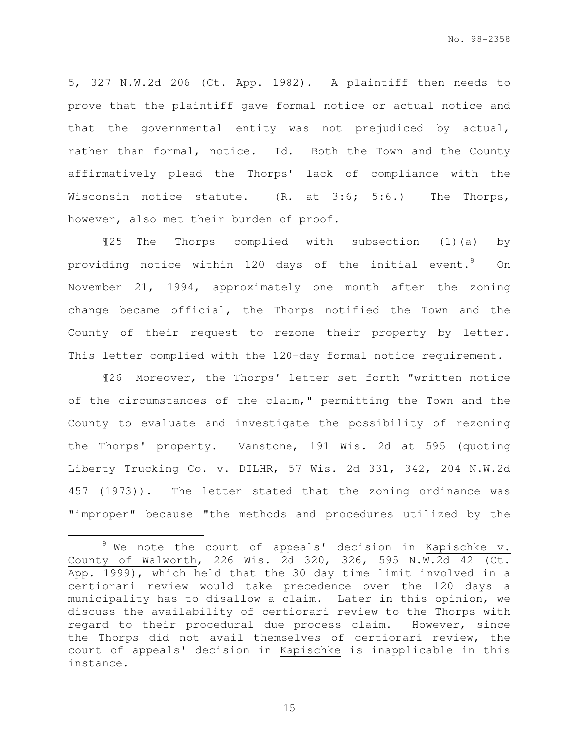5, 327 N.W.2d 206 (Ct. App. 1982). A plaintiff then needs to prove that the plaintiff gave formal notice or actual notice and that the governmental entity was not prejudiced by actual, rather than formal, notice. Id. Both the Town and the County affirmatively plead the Thorps' lack of compliance with the Wisconsin notice statute. (R. at 3:6; 5:6.) The Thorps, however, also met their burden of proof.

¶25 The Thorps complied with subsection (1)(a) by providing notice within 120 days of the initial event. $9$  On November 21, 1994, approximately one month after the zoning change became official, the Thorps notified the Town and the County of their request to rezone their property by letter. This letter complied with the 120-day formal notice requirement.

¶26 Moreover, the Thorps' letter set forth "written notice of the circumstances of the claim," permitting the Town and the County to evaluate and investigate the possibility of rezoning the Thorps' property. Vanstone, 191 Wis. 2d at 595 (quoting Liberty Trucking Co. v. DILHR, 57 Wis. 2d 331, 342, 204 N.W.2d 457 (1973)). The letter stated that the zoning ordinance was "improper" because "the methods and procedures utilized by the

e<br>S

 $9$  We note the court of appeals' decision in Kapischke v. County of Walworth, 226 Wis. 2d 320, 326, 595 N.W.2d 42 (Ct. App. 1999), which held that the 30 day time limit involved in a certiorari review would take precedence over the 120 days a municipality has to disallow a claim. Later in this opinion, we discuss the availability of certiorari review to the Thorps with regard to their procedural due process claim. However, since the Thorps did not avail themselves of certiorari review, the court of appeals' decision in Kapischke is inapplicable in this instance.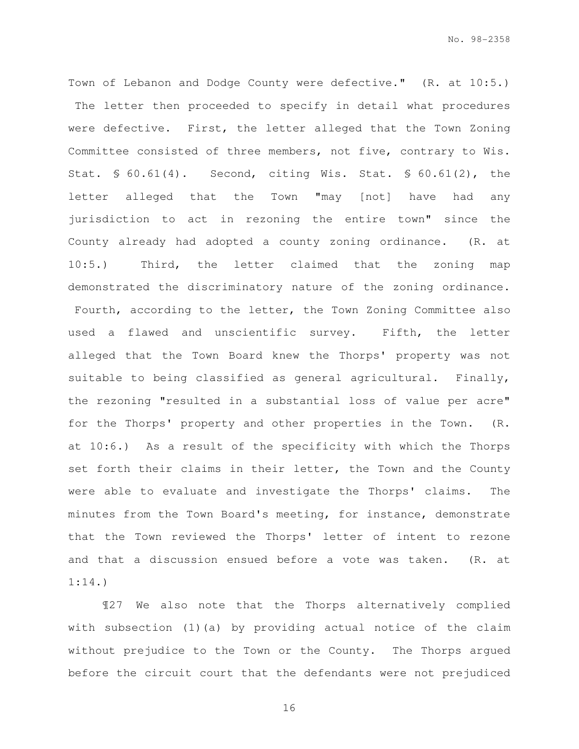Town of Lebanon and Dodge County were defective." (R. at 10:5.) The letter then proceeded to specify in detail what procedures were defective. First, the letter alleged that the Town Zoning Committee consisted of three members, not five, contrary to Wis. Stat. § 60.61(4). Second, citing Wis. Stat. § 60.61(2), the letter alleged that the Town "may [not] have had any jurisdiction to act in rezoning the entire town" since the County already had adopted a county zoning ordinance. (R. at 10:5.) Third, the letter claimed that the zoning map demonstrated the discriminatory nature of the zoning ordinance. Fourth, according to the letter, the Town Zoning Committee also used a flawed and unscientific survey. Fifth, the letter alleged that the Town Board knew the Thorps' property was not suitable to being classified as general agricultural. Finally, the rezoning "resulted in a substantial loss of value per acre" for the Thorps' property and other properties in the Town. (R. at 10:6.) As a result of the specificity with which the Thorps set forth their claims in their letter, the Town and the County were able to evaluate and investigate the Thorps' claims. The minutes from the Town Board's meeting, for instance, demonstrate that the Town reviewed the Thorps' letter of intent to rezone and that a discussion ensued before a vote was taken. (R. at 1:14.)

¶27 We also note that the Thorps alternatively complied with subsection (1)(a) by providing actual notice of the claim without prejudice to the Town or the County. The Thorps argued before the circuit court that the defendants were not prejudiced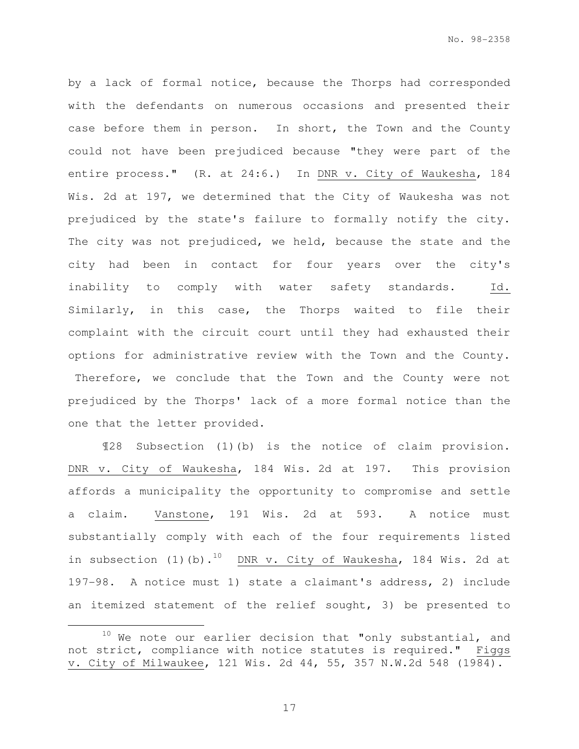by a lack of formal notice, because the Thorps had corresponded with the defendants on numerous occasions and presented their case before them in person. In short, the Town and the County could not have been prejudiced because "they were part of the entire process." (R. at 24:6.) In DNR v. City of Waukesha, 184 Wis. 2d at 197, we determined that the City of Waukesha was not prejudiced by the state's failure to formally notify the city. The city was not prejudiced, we held, because the state and the city had been in contact for four years over the city's inability to comply with water safety standards. Id. Similarly, in this case, the Thorps waited to file their complaint with the circuit court until they had exhausted their options for administrative review with the Town and the County. Therefore, we conclude that the Town and the County were not prejudiced by the Thorps' lack of a more formal notice than the one that the letter provided.

¶28 Subsection (1)(b) is the notice of claim provision. DNR v. City of Waukesha, 184 Wis. 2d at 197. This provision affords a municipality the opportunity to compromise and settle a claim. Vanstone, 191 Wis. 2d at 593. A notice must substantially comply with each of the four requirements listed in subsection (1)(b).<sup>10</sup> DNR v. City of Waukesha, 184 Wis. 2d at 197-98. A notice must 1) state a claimant's address, 2) include an itemized statement of the relief sought, 3) be presented to

e<br>S

 $10$  We note our earlier decision that "only substantial, and not strict, compliance with notice statutes is required." Figgs v. City of Milwaukee, 121 Wis. 2d 44, 55, 357 N.W.2d 548 (1984).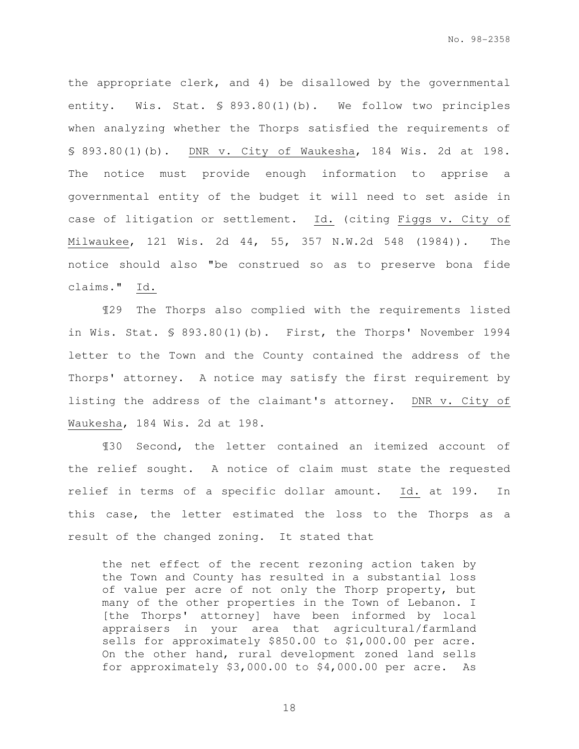the appropriate clerk, and 4) be disallowed by the governmental entity. Wis. Stat. § 893.80(1)(b). We follow two principles when analyzing whether the Thorps satisfied the requirements of § 893.80(1)(b). DNR v. City of Waukesha, 184 Wis. 2d at 198. The notice must provide enough information to apprise a governmental entity of the budget it will need to set aside in case of litigation or settlement. Id. (citing Figgs v. City of Milwaukee, 121 Wis. 2d 44, 55, 357 N.W.2d 548 (1984)). The notice should also "be construed so as to preserve bona fide claims." Id.

¶29 The Thorps also complied with the requirements listed in Wis. Stat. § 893.80(1)(b). First, the Thorps' November 1994 letter to the Town and the County contained the address of the Thorps' attorney. A notice may satisfy the first requirement by listing the address of the claimant's attorney. DNR v. City of Waukesha, 184 Wis. 2d at 198.

¶30 Second, the letter contained an itemized account of the relief sought. A notice of claim must state the requested relief in terms of a specific dollar amount. Id. at 199. In this case, the letter estimated the loss to the Thorps as a result of the changed zoning. It stated that

the net effect of the recent rezoning action taken by the Town and County has resulted in a substantial loss of value per acre of not only the Thorp property, but many of the other properties in the Town of Lebanon. I [the Thorps' attorney] have been informed by local appraisers in your area that agricultural/farmland sells for approximately \$850.00 to \$1,000.00 per acre. On the other hand, rural development zoned land sells for approximately \$3,000.00 to \$4,000.00 per acre. As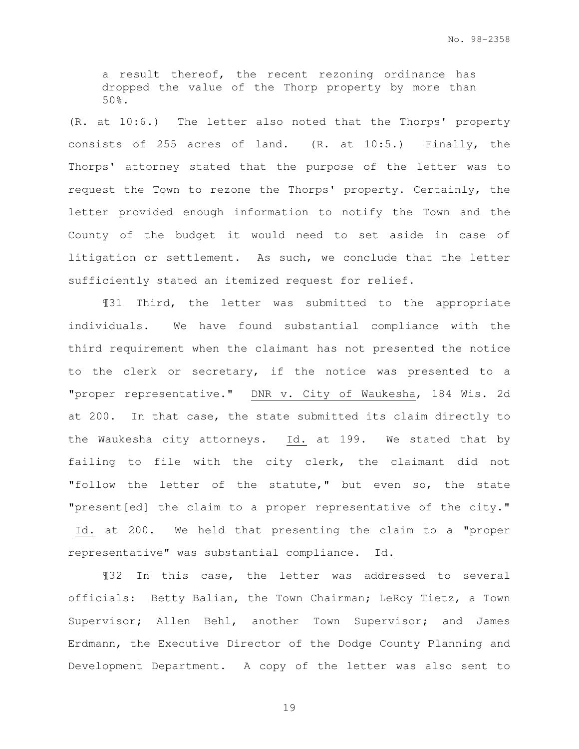a result thereof, the recent rezoning ordinance has dropped the value of the Thorp property by more than 50%.

(R. at 10:6.) The letter also noted that the Thorps' property consists of 255 acres of land. (R. at 10:5.) Finally, the Thorps' attorney stated that the purpose of the letter was to request the Town to rezone the Thorps' property. Certainly, the letter provided enough information to notify the Town and the County of the budget it would need to set aside in case of litigation or settlement. As such, we conclude that the letter sufficiently stated an itemized request for relief.

 ¶31 Third, the letter was submitted to the appropriate individuals. We have found substantial compliance with the third requirement when the claimant has not presented the notice to the clerk or secretary, if the notice was presented to a "proper representative." DNR v. City of Waukesha, 184 Wis. 2d at 200. In that case, the state submitted its claim directly to the Waukesha city attorneys. Id. at 199. We stated that by failing to file with the city clerk, the claimant did not "follow the letter of the statute," but even so, the state "present[ed] the claim to a proper representative of the city." Id. at 200. We held that presenting the claim to a "proper representative" was substantial compliance. Id.

¶32 In this case, the letter was addressed to several officials: Betty Balian, the Town Chairman; LeRoy Tietz, a Town Supervisor; Allen Behl, another Town Supervisor; and James Erdmann, the Executive Director of the Dodge County Planning and Development Department. A copy of the letter was also sent to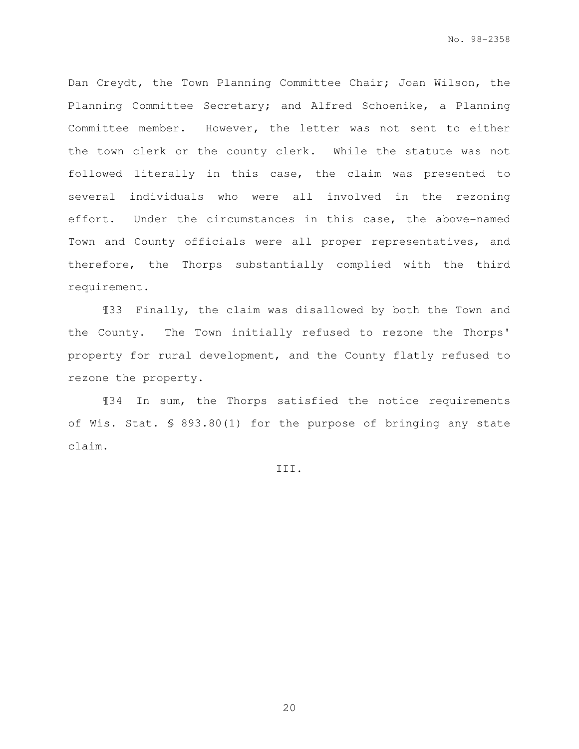Dan Creydt, the Town Planning Committee Chair; Joan Wilson, the Planning Committee Secretary; and Alfred Schoenike, a Planning Committee member. However, the letter was not sent to either the town clerk or the county clerk. While the statute was not followed literally in this case, the claim was presented to several individuals who were all involved in the rezoning effort. Under the circumstances in this case, the above-named Town and County officials were all proper representatives, and therefore, the Thorps substantially complied with the third requirement.

 ¶33 Finally, the claim was disallowed by both the Town and the County. The Town initially refused to rezone the Thorps' property for rural development, and the County flatly refused to rezone the property.

 ¶34 In sum, the Thorps satisfied the notice requirements of Wis. Stat. § 893.80(1) for the purpose of bringing any state claim.

III.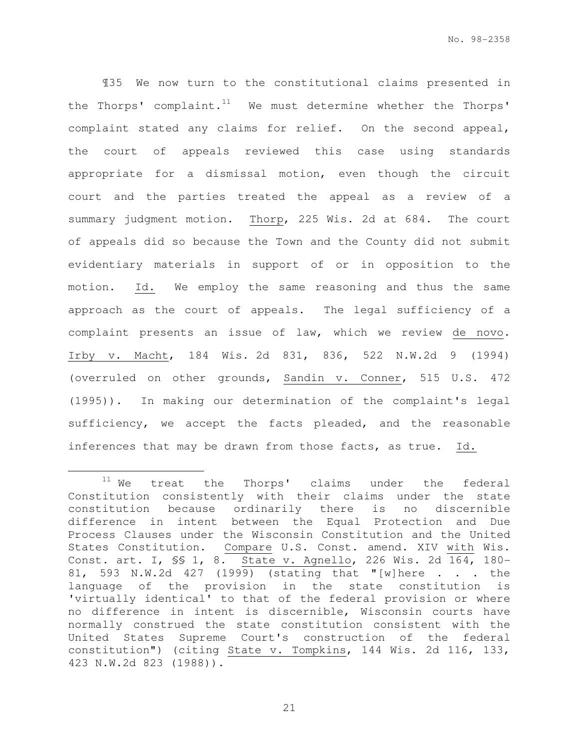¶35 We now turn to the constitutional claims presented in the Thorps' complaint. $^{11}$  We must determine whether the Thorps' complaint stated any claims for relief. On the second appeal, the court of appeals reviewed this case using standards appropriate for a dismissal motion, even though the circuit court and the parties treated the appeal as a review of a summary judgment motion. Thorp, 225 Wis. 2d at 684. The court of appeals did so because the Town and the County did not submit evidentiary materials in support of or in opposition to the motion. Id. We employ the same reasoning and thus the same approach as the court of appeals. The legal sufficiency of a complaint presents an issue of law, which we review de novo. Irby v. Macht, 184 Wis. 2d 831, 836, 522 N.W.2d 9 (1994) (overruled on other grounds, Sandin v. Conner, 515 U.S. 472 (1995)). In making our determination of the complaint's legal sufficiency, we accept the facts pleaded, and the reasonable inferences that may be drawn from those facts, as true. Id.

e<br>S

 $11$  We treat the Thorps' claims under the federal Constitution consistently with their claims under the state constitution because ordinarily there is no discernible difference in intent between the Equal Protection and Due Process Clauses under the Wisconsin Constitution and the United States Constitution. Compare U.S. Const. amend. XIV with Wis. Const. art. I, §§ 1, 8. State v. Agnello, 226 Wis. 2d 164, 180- 81, 593 N.W.2d 427 (1999) (stating that "[w]here . . . the language of the provision in the state constitution is 'virtually identical' to that of the federal provision or where no difference in intent is discernible, Wisconsin courts have normally construed the state constitution consistent with the United States Supreme Court's construction of the federal constitution") (citing State v. Tompkins, 144 Wis. 2d 116, 133, 423 N.W.2d 823 (1988)).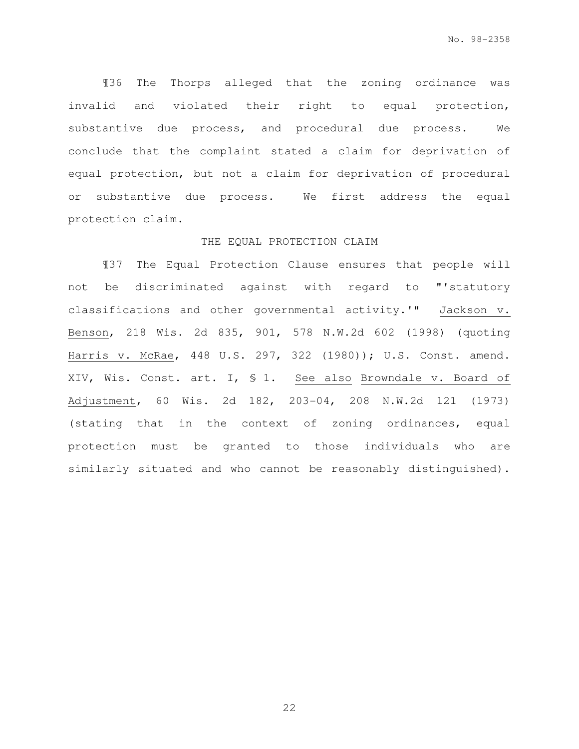¶36 The Thorps alleged that the zoning ordinance was invalid and violated their right to equal protection, substantive due process, and procedural due process. We conclude that the complaint stated a claim for deprivation of equal protection, but not a claim for deprivation of procedural or substantive due process. We first address the equal protection claim.

## THE EQUAL PROTECTION CLAIM

¶37 The Equal Protection Clause ensures that people will not be discriminated against with regard to "'statutory classifications and other governmental activity.'" Jackson v. Benson, 218 Wis. 2d 835, 901, 578 N.W.2d 602 (1998) (quoting Harris v. McRae, 448 U.S. 297, 322 (1980)); U.S. Const. amend. XIV, Wis. Const. art. I, § 1. See also Browndale v. Board of Adjustment, 60 Wis. 2d 182, 203-04, 208 N.W.2d 121 (1973) (stating that in the context of zoning ordinances, equal protection must be granted to those individuals who are similarly situated and who cannot be reasonably distinguished).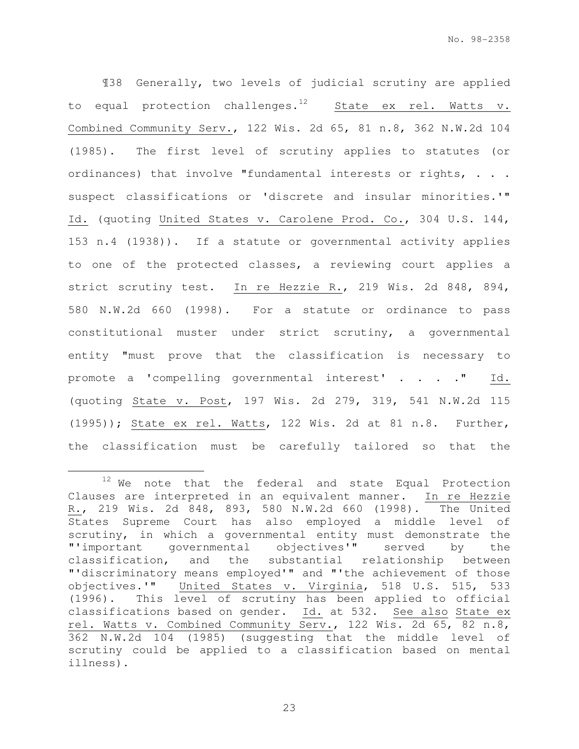¶38 Generally, two levels of judicial scrutiny are applied to equal protection challenges.<sup>12</sup> State ex rel. Watts  $v$ . Combined Community Serv., 122 Wis. 2d 65, 81 n.8, 362 N.W.2d 104 (1985). The first level of scrutiny applies to statutes (or ordinances) that involve "fundamental interests or rights, . . . suspect classifications or 'discrete and insular minorities.'" Id. (quoting United States v. Carolene Prod. Co., 304 U.S. 144, 153 n.4 (1938)). If a statute or governmental activity applies to one of the protected classes, a reviewing court applies a strict scrutiny test. In re Hezzie R., 219 Wis. 2d 848, 894, 580 N.W.2d 660 (1998). For a statute or ordinance to pass constitutional muster under strict scrutiny, a governmental entity "must prove that the classification is necessary to promote a 'compelling governmental interest' . . . . " Id. (quoting State v. Post, 197 Wis. 2d 279, 319, 541 N.W.2d 115 (1995)); State ex rel. Watts, 122 Wis. 2d at 81 n.8. Further, the classification must be carefully tailored so that the

e<br>S

 $12$  We note that the federal and state Equal Protection Clauses are interpreted in an equivalent manner. In re Hezzie R., 219 Wis. 2d 848, 893, 580 N.W.2d 660 (1998). The United States Supreme Court has also employed a middle level of scrutiny, in which a governmental entity must demonstrate the "'important governmental objectives'" served by the classification, and the substantial relationship between "'discriminatory means employed'" and "'the achievement of those objectives.'" United States v. Virginia, 518 U.S. 515, 533 (1996). This level of scrutiny has been applied to official classifications based on gender. Id. at 532. See also State ex rel. Watts v. Combined Community Serv., 122 Wis. 2d 65, 82 n.8, 362 N.W.2d 104 (1985) (suggesting that the middle level of scrutiny could be applied to a classification based on mental illness).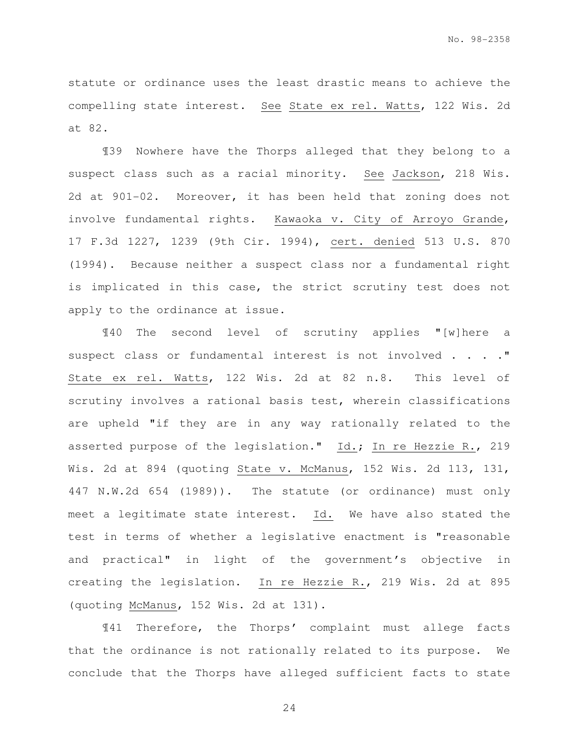statute or ordinance uses the least drastic means to achieve the compelling state interest. See State ex rel. Watts, 122 Wis. 2d at 82.

¶39 Nowhere have the Thorps alleged that they belong to a suspect class such as a racial minority. See Jackson, 218 Wis. 2d at 901-02. Moreover, it has been held that zoning does not involve fundamental rights. Kawaoka v. City of Arroyo Grande, 17 F.3d 1227, 1239 (9th Cir. 1994), cert. denied 513 U.S. 870 (1994). Because neither a suspect class nor a fundamental right is implicated in this case, the strict scrutiny test does not apply to the ordinance at issue.

¶40 The second level of scrutiny applies "[w]here a suspect class or fundamental interest is not involved . . . . " State ex rel. Watts, 122 Wis. 2d at 82 n.8. This level of scrutiny involves a rational basis test, wherein classifications are upheld "if they are in any way rationally related to the asserted purpose of the legislation." Id.; In re Hezzie R., 219 Wis. 2d at 894 (quoting State v. McManus, 152 Wis. 2d 113, 131, 447 N.W.2d 654 (1989)). The statute (or ordinance) must only meet a legitimate state interest. Id. We have also stated the test in terms of whether a legislative enactment is "reasonable and practical" in light of the government's objective in creating the legislation. In re Hezzie R., 219 Wis. 2d at 895 (quoting McManus, 152 Wis. 2d at 131).

¶41 Therefore, the Thorps' complaint must allege facts that the ordinance is not rationally related to its purpose. We conclude that the Thorps have alleged sufficient facts to state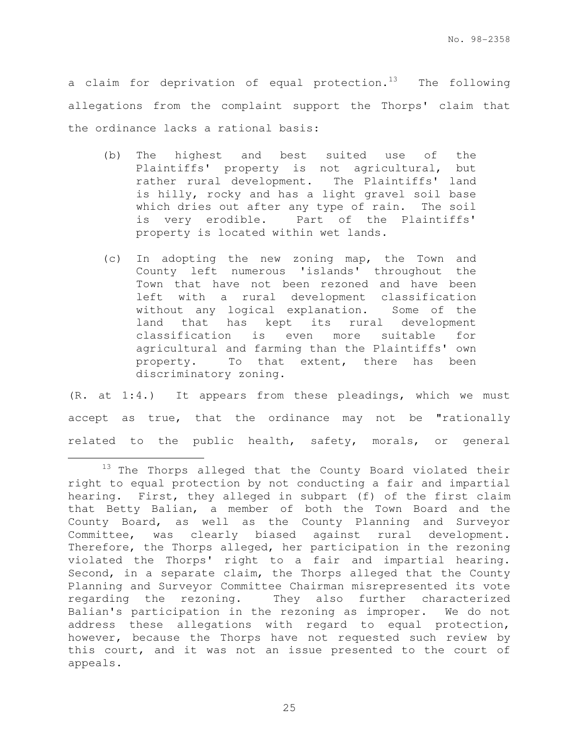a claim for deprivation of equal protection.<sup>13</sup> The following allegations from the complaint support the Thorps' claim that the ordinance lacks a rational basis:

- (b) The highest and best suited use of the Plaintiffs' property is not agricultural, but rather rural development. The Plaintiffs' land is hilly, rocky and has a light gravel soil base which dries out after any type of rain. The soil is very erodible. Part of the Plaintiffs' property is located within wet lands.
- (c) In adopting the new zoning map, the Town and County left numerous 'islands' throughout the Town that have not been rezoned and have been left with a rural development classification without any logical explanation. Some of the land that has kept its rural development classification is even more suitable for agricultural and farming than the Plaintiffs' own property. To that extent, there has been discriminatory zoning.

(R. at 1:4.) It appears from these pleadings, which we must accept as true, that the ordinance may not be "rationally related to the public health, safety, morals, or general

e<br>S

<sup>&</sup>lt;sup>13</sup> The Thorps alleged that the County Board violated their right to equal protection by not conducting a fair and impartial hearing. First, they alleged in subpart (f) of the first claim that Betty Balian, a member of both the Town Board and the County Board, as well as the County Planning and Surveyor Committee, was clearly biased against rural development. Therefore, the Thorps alleged, her participation in the rezoning violated the Thorps' right to a fair and impartial hearing. Second, in a separate claim, the Thorps alleged that the County Planning and Surveyor Committee Chairman misrepresented its vote regarding the rezoning. They also further characterized Balian's participation in the rezoning as improper. We do not address these allegations with regard to equal protection, however, because the Thorps have not requested such review by this court, and it was not an issue presented to the court of appeals.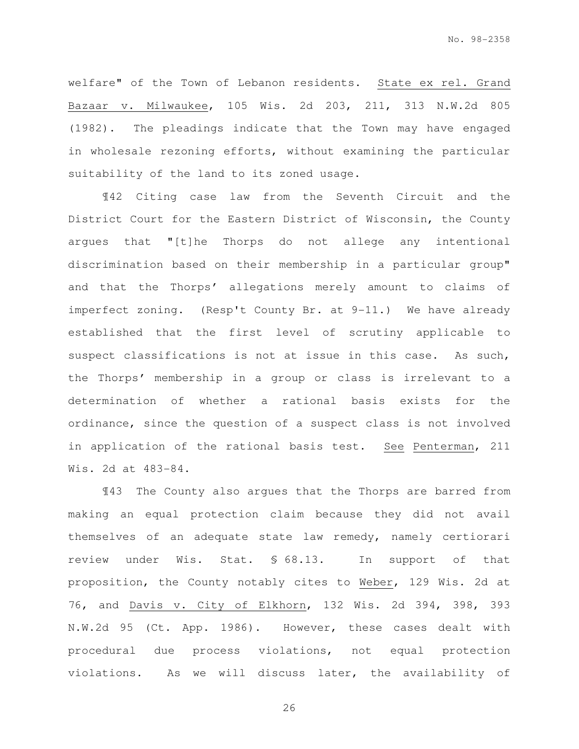welfare" of the Town of Lebanon residents. State ex rel. Grand Bazaar v. Milwaukee, 105 Wis. 2d 203, 211, 313 N.W.2d 805 (1982). The pleadings indicate that the Town may have engaged in wholesale rezoning efforts, without examining the particular suitability of the land to its zoned usage.

 ¶42 Citing case law from the Seventh Circuit and the District Court for the Eastern District of Wisconsin, the County argues that "[t]he Thorps do not allege any intentional discrimination based on their membership in a particular group" and that the Thorps' allegations merely amount to claims of imperfect zoning. (Resp't County Br. at 9-11.) We have already established that the first level of scrutiny applicable to suspect classifications is not at issue in this case. As such, the Thorps' membership in a group or class is irrelevant to a determination of whether a rational basis exists for the ordinance, since the question of a suspect class is not involved in application of the rational basis test. See Penterman, 211 Wis. 2d at 483-84.

 ¶43 The County also argues that the Thorps are barred from making an equal protection claim because they did not avail themselves of an adequate state law remedy, namely certiorari review under Wis. Stat. § 68.13. In support of that proposition, the County notably cites to Weber, 129 Wis. 2d at 76, and Davis v. City of Elkhorn, 132 Wis. 2d 394, 398, 393 N.W.2d 95 (Ct. App. 1986). However, these cases dealt with procedural due process violations, not equal protection violations. As we will discuss later, the availability of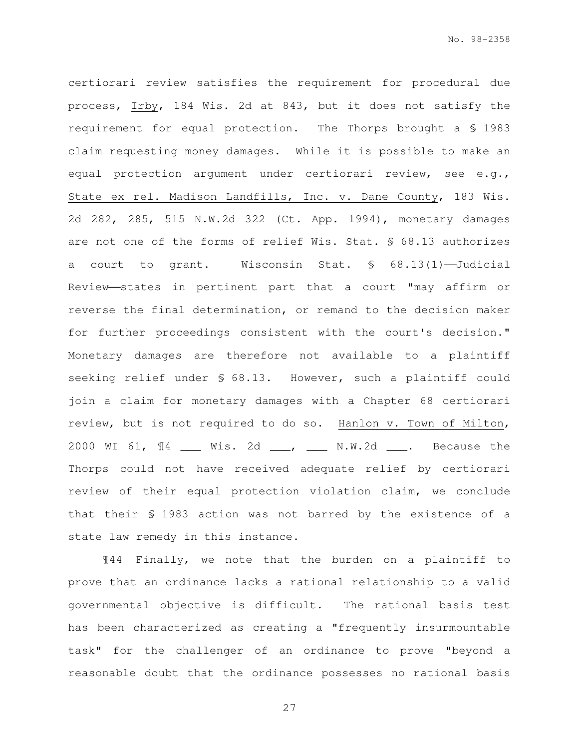certiorari review satisfies the requirement for procedural due process, Irby, 184 Wis. 2d at 843, but it does not satisfy the requirement for equal protection. The Thorps brought a § 1983 claim requesting money damages. While it is possible to make an equal protection argument under certiorari review, see e.g., State ex rel. Madison Landfills, Inc. v. Dane County, 183 Wis. 2d 282, 285, 515 N.W.2d 322 (Ct. App. 1994), monetary damages are not one of the forms of relief Wis. Stat. § 68.13 authorizes a court to grant. Wisconsin Stat. § 68.13(1)-Judicial Review-states in pertinent part that a court "may affirm or reverse the final determination, or remand to the decision maker for further proceedings consistent with the court's decision." Monetary damages are therefore not available to a plaintiff seeking relief under § 68.13. However, such a plaintiff could join a claim for monetary damages with a Chapter 68 certiorari review, but is not required to do so. Hanlon v. Town of Milton, 2000 WI 61, ¶4 \_\_\_ Wis. 2d \_\_\_, \_\_\_ N.W.2d \_\_\_. Because the Thorps could not have received adequate relief by certiorari review of their equal protection violation claim, we conclude that their § 1983 action was not barred by the existence of a state law remedy in this instance.

 ¶44 Finally, we note that the burden on a plaintiff to prove that an ordinance lacks a rational relationship to a valid governmental objective is difficult. The rational basis test has been characterized as creating a "frequently insurmountable task" for the challenger of an ordinance to prove "beyond a reasonable doubt that the ordinance possesses no rational basis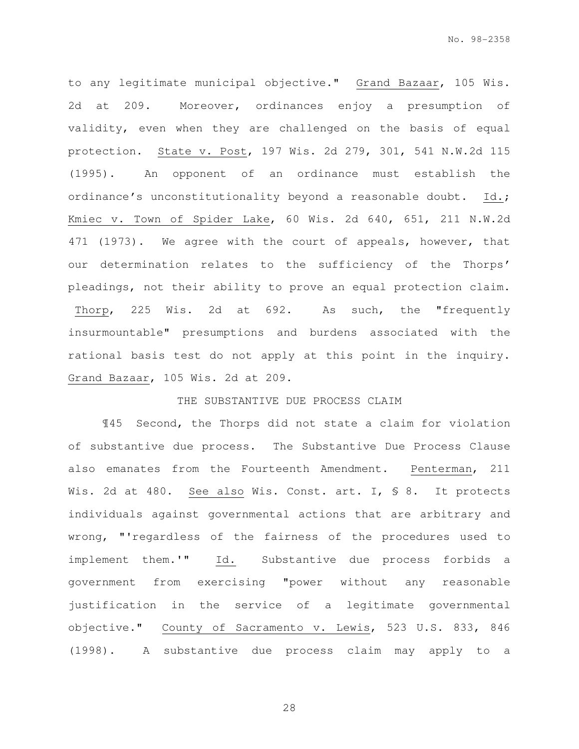to any legitimate municipal objective." Grand Bazaar, 105 Wis. 2d at 209. Moreover, ordinances enjoy a presumption of validity, even when they are challenged on the basis of equal protection. State v. Post, 197 Wis. 2d 279, 301, 541 N.W.2d 115 (1995). An opponent of an ordinance must establish the ordinance's unconstitutionality beyond a reasonable doubt. Id.; Kmiec v. Town of Spider Lake, 60 Wis. 2d 640, 651, 211 N.W.2d 471 (1973). We agree with the court of appeals, however, that our determination relates to the sufficiency of the Thorps' pleadings, not their ability to prove an equal protection claim. Thorp, 225 Wis. 2d at 692. As such, the "frequently insurmountable" presumptions and burdens associated with the rational basis test do not apply at this point in the inquiry. Grand Bazaar, 105 Wis. 2d at 209.

## THE SUBSTANTIVE DUE PROCESS CLAIM

 ¶45 Second, the Thorps did not state a claim for violation of substantive due process. The Substantive Due Process Clause also emanates from the Fourteenth Amendment. Penterman, 211 Wis. 2d at 480. See also Wis. Const. art. I, § 8. It protects individuals against governmental actions that are arbitrary and wrong, "'regardless of the fairness of the procedures used to implement them.'" Id. Substantive due process forbids a government from exercising "power without any reasonable justification in the service of a legitimate governmental objective." County of Sacramento v. Lewis, 523 U.S. 833, 846 (1998). A substantive due process claim may apply to a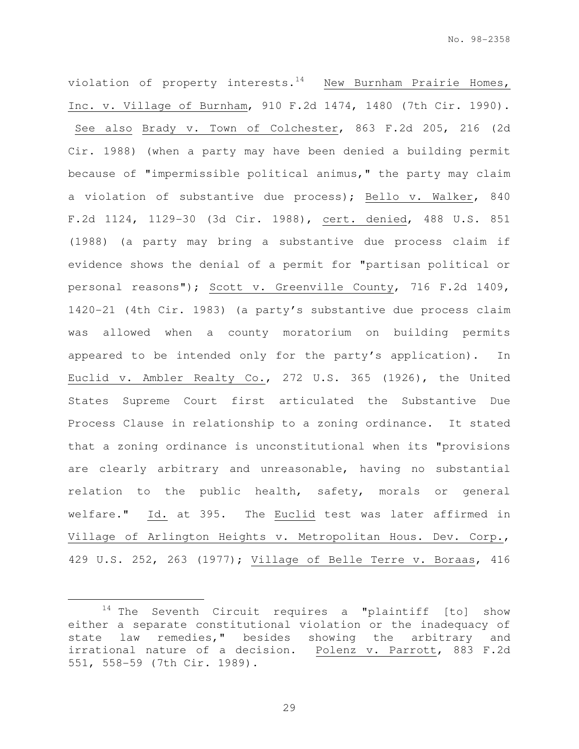violation of property interests. $14$  New Burnham Prairie Homes, Inc. v. Village of Burnham, 910 F.2d 1474, 1480 (7th Cir. 1990). See also Brady v. Town of Colchester, 863 F.2d 205, 216 (2d Cir. 1988) (when a party may have been denied a building permit because of "impermissible political animus," the party may claim a violation of substantive due process); Bello v. Walker, 840 F.2d 1124, 1129-30 (3d Cir. 1988), cert. denied, 488 U.S. 851 (1988) (a party may bring a substantive due process claim if evidence shows the denial of a permit for "partisan political or personal reasons"); Scott v. Greenville County, 716 F.2d 1409, 1420-21 (4th Cir. 1983) (a party's substantive due process claim was allowed when a county moratorium on building permits appeared to be intended only for the party's application). In Euclid v. Ambler Realty Co., 272 U.S. 365 (1926), the United States Supreme Court first articulated the Substantive Due Process Clause in relationship to a zoning ordinance. It stated that a zoning ordinance is unconstitutional when its "provisions are clearly arbitrary and unreasonable, having no substantial relation to the public health, safety, morals or general welfare." Id. at 395. The Euclid test was later affirmed in Village of Arlington Heights v. Metropolitan Hous. Dev. Corp., 429 U.S. 252, 263 (1977); Village of Belle Terre v. Boraas, 416

e<br>S

 $14$  The Seventh Circuit requires a "plaintiff [to] show either a separate constitutional violation or the inadequacy of state law remedies," besides showing the arbitrary and irrational nature of a decision. Polenz v. Parrott, 883 F.2d 551, 558-59 (7th Cir. 1989).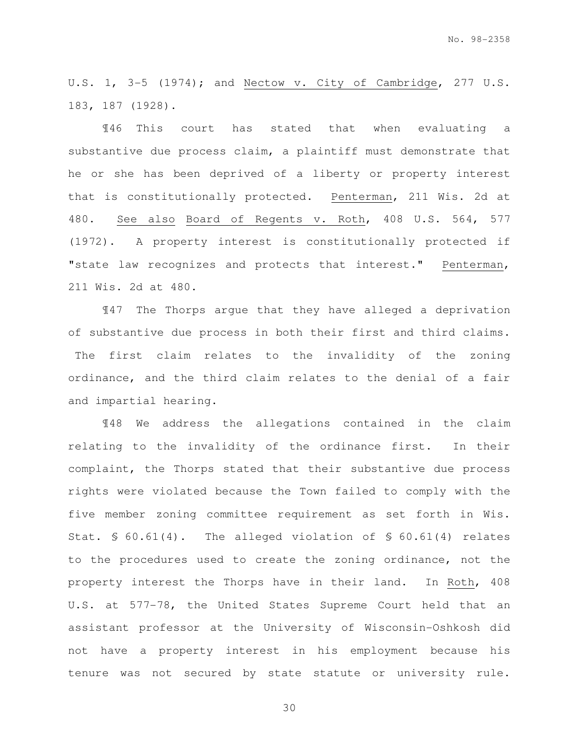U.S. 1, 3-5 (1974); and Nectow v. City of Cambridge, 277 U.S. 183, 187 (1928).

¶46 This court has stated that when evaluating a substantive due process claim, a plaintiff must demonstrate that he or she has been deprived of a liberty or property interest that is constitutionally protected. Penterman, 211 Wis. 2d at 480. See also Board of Regents v. Roth, 408 U.S. 564, 577 (1972). A property interest is constitutionally protected if "state law recognizes and protects that interest." Penterman, 211 Wis. 2d at 480.

¶47 The Thorps argue that they have alleged a deprivation of substantive due process in both their first and third claims. The first claim relates to the invalidity of the zoning ordinance, and the third claim relates to the denial of a fair and impartial hearing.

¶48 We address the allegations contained in the claim relating to the invalidity of the ordinance first. In their complaint, the Thorps stated that their substantive due process rights were violated because the Town failed to comply with the five member zoning committee requirement as set forth in Wis. Stat. § 60.61(4). The alleged violation of § 60.61(4) relates to the procedures used to create the zoning ordinance, not the property interest the Thorps have in their land. In Roth, 408 U.S. at 577-78, the United States Supreme Court held that an assistant professor at the University of Wisconsin-Oshkosh did not have a property interest in his employment because his tenure was not secured by state statute or university rule.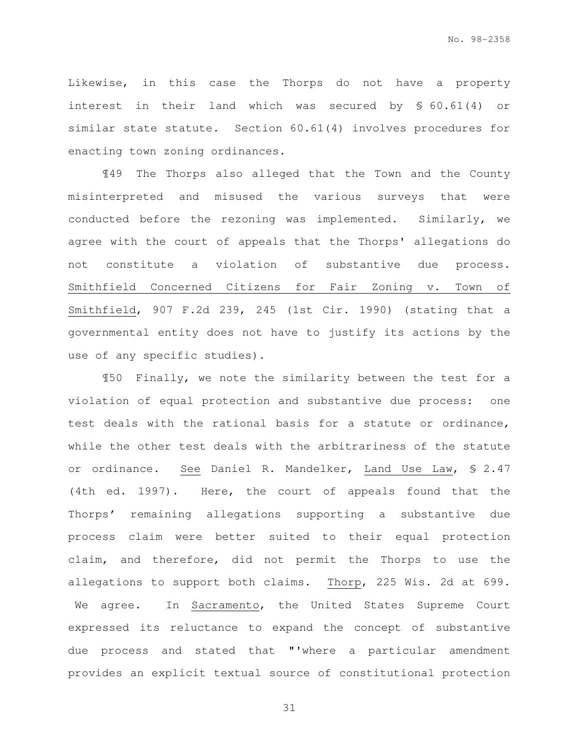Likewise, in this case the Thorps do not have a property interest in their land which was secured by § 60.61(4) or similar state statute. Section 60.61(4) involves procedures for enacting town zoning ordinances.

¶49 The Thorps also alleged that the Town and the County misinterpreted and misused the various surveys that were conducted before the rezoning was implemented. Similarly, we agree with the court of appeals that the Thorps' allegations do not constitute a violation of substantive due process. Smithfield Concerned Citizens for Fair Zoning v. Town of Smithfield, 907 F.2d 239, 245 (1st Cir. 1990) (stating that a governmental entity does not have to justify its actions by the use of any specific studies).

¶50 Finally, we note the similarity between the test for a violation of equal protection and substantive due process: one test deals with the rational basis for a statute or ordinance, while the other test deals with the arbitrariness of the statute or ordinance. See Daniel R. Mandelker, Land Use Law, § 2.47 (4th ed. 1997). Here, the court of appeals found that the Thorps' remaining allegations supporting a substantive due process claim were better suited to their equal protection claim, and therefore, did not permit the Thorps to use the allegations to support both claims. Thorp, 225 Wis. 2d at 699. We agree. In Sacramento, the United States Supreme Court expressed its reluctance to expand the concept of substantive due process and stated that "'where a particular amendment provides an explicit textual source of constitutional protection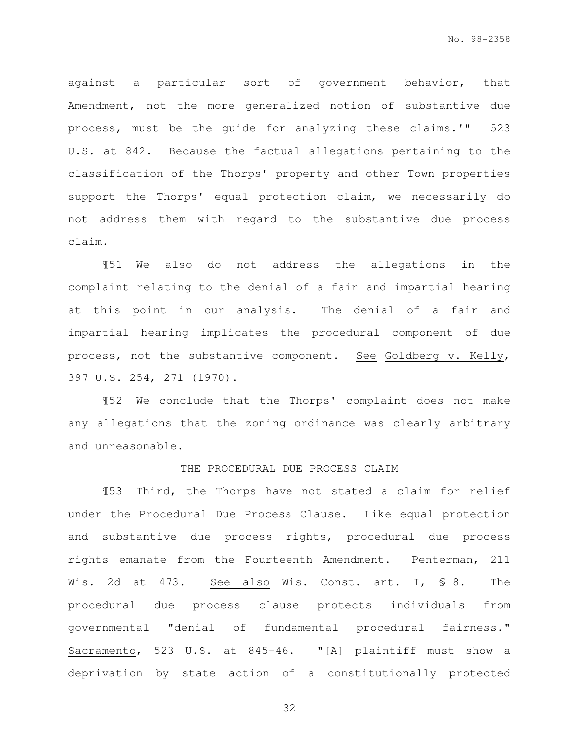against a particular sort of government behavior, that Amendment, not the more generalized notion of substantive due process, must be the guide for analyzing these claims.'" 523 U.S. at 842. Because the factual allegations pertaining to the classification of the Thorps' property and other Town properties support the Thorps' equal protection claim, we necessarily do not address them with regard to the substantive due process claim.

¶51 We also do not address the allegations in the complaint relating to the denial of a fair and impartial hearing at this point in our analysis. The denial of a fair and impartial hearing implicates the procedural component of due process, not the substantive component. See Goldberg v. Kelly, 397 U.S. 254, 271 (1970).

¶52 We conclude that the Thorps' complaint does not make any allegations that the zoning ordinance was clearly arbitrary and unreasonable.

## THE PROCEDURAL DUE PROCESS CLAIM

 ¶53 Third, the Thorps have not stated a claim for relief under the Procedural Due Process Clause. Like equal protection and substantive due process rights, procedural due process rights emanate from the Fourteenth Amendment. Penterman, 211 Wis. 2d at 473. See also Wis. Const. art. I, § 8. The procedural due process clause protects individuals from governmental "denial of fundamental procedural fairness." Sacramento, 523 U.S. at 845-46. "[A] plaintiff must show a deprivation by state action of a constitutionally protected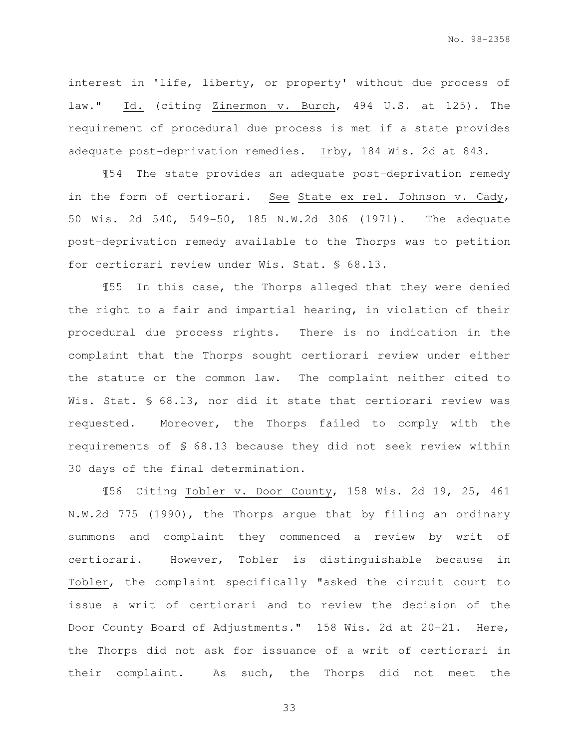interest in 'life, liberty, or property' without due process of law." Id. (citing Zinermon v. Burch, 494 U.S. at 125). The requirement of procedural due process is met if a state provides adequate post-deprivation remedies. Irby, 184 Wis. 2d at 843.

 ¶54 The state provides an adequate post-deprivation remedy in the form of certiorari. See State ex rel. Johnson v. Cady, 50 Wis. 2d 540, 549-50, 185 N.W.2d 306 (1971). The adequate post-deprivation remedy available to the Thorps was to petition for certiorari review under Wis. Stat. § 68.13.

¶55 In this case, the Thorps alleged that they were denied the right to a fair and impartial hearing, in violation of their procedural due process rights. There is no indication in the complaint that the Thorps sought certiorari review under either the statute or the common law. The complaint neither cited to Wis. Stat. § 68.13, nor did it state that certiorari review was requested. Moreover, the Thorps failed to comply with the requirements of § 68.13 because they did not seek review within 30 days of the final determination.

¶56 Citing Tobler v. Door County, 158 Wis. 2d 19, 25, 461 N.W.2d 775 (1990), the Thorps argue that by filing an ordinary summons and complaint they commenced a review by writ of certiorari. However, Tobler is distinguishable because in Tobler, the complaint specifically "asked the circuit court to issue a writ of certiorari and to review the decision of the Door County Board of Adjustments." 158 Wis. 2d at 20-21. Here, the Thorps did not ask for issuance of a writ of certiorari in their complaint. As such, the Thorps did not meet the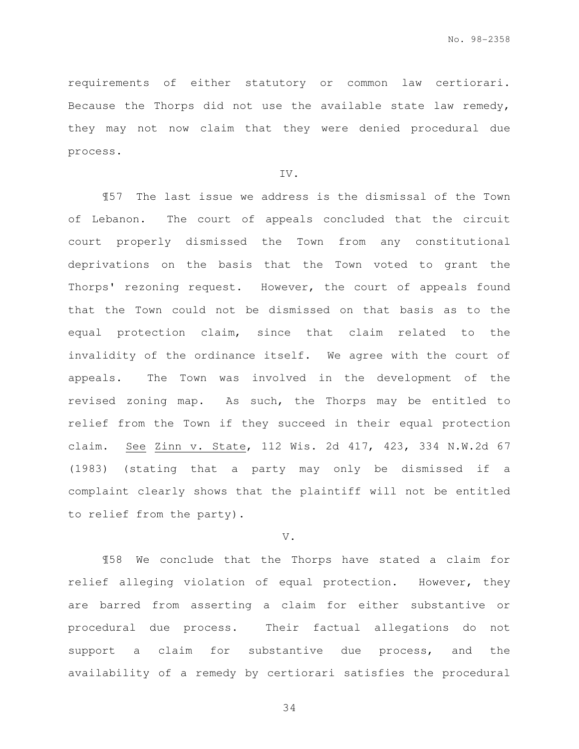requirements of either statutory or common law certiorari. Because the Thorps did not use the available state law remedy, they may not now claim that they were denied procedural due process.

#### IV.

 ¶57 The last issue we address is the dismissal of the Town of Lebanon. The court of appeals concluded that the circuit court properly dismissed the Town from any constitutional deprivations on the basis that the Town voted to grant the Thorps' rezoning request. However, the court of appeals found that the Town could not be dismissed on that basis as to the equal protection claim, since that claim related to the invalidity of the ordinance itself. We agree with the court of appeals. The Town was involved in the development of the revised zoning map. As such, the Thorps may be entitled to relief from the Town if they succeed in their equal protection claim. See Zinn v. State, 112 Wis. 2d 417, 423, 334 N.W.2d 67 (1983) (stating that a party may only be dismissed if a complaint clearly shows that the plaintiff will not be entitled to relief from the party).

### V.

 ¶58 We conclude that the Thorps have stated a claim for relief alleging violation of equal protection. However, they are barred from asserting a claim for either substantive or procedural due process. Their factual allegations do not support a claim for substantive due process, and the availability of a remedy by certiorari satisfies the procedural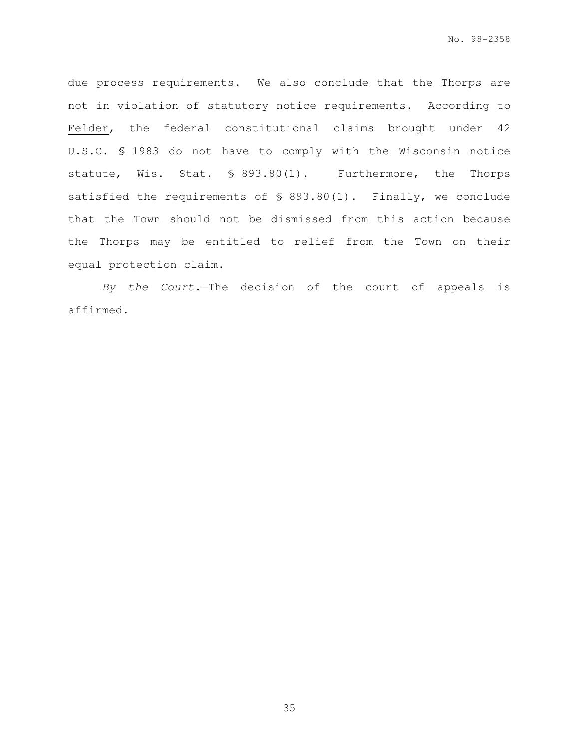due process requirements. We also conclude that the Thorps are not in violation of statutory notice requirements. According to Felder, the federal constitutional claims brought under 42 U.S.C. § 1983 do not have to comply with the Wisconsin notice statute, Wis. Stat. § 893.80(1). Furthermore, the Thorps satisfied the requirements of § 893.80(1). Finally, we conclude that the Town should not be dismissed from this action because the Thorps may be entitled to relief from the Town on their equal protection claim.

By the Court.—The decision of the court of appeals is affirmed.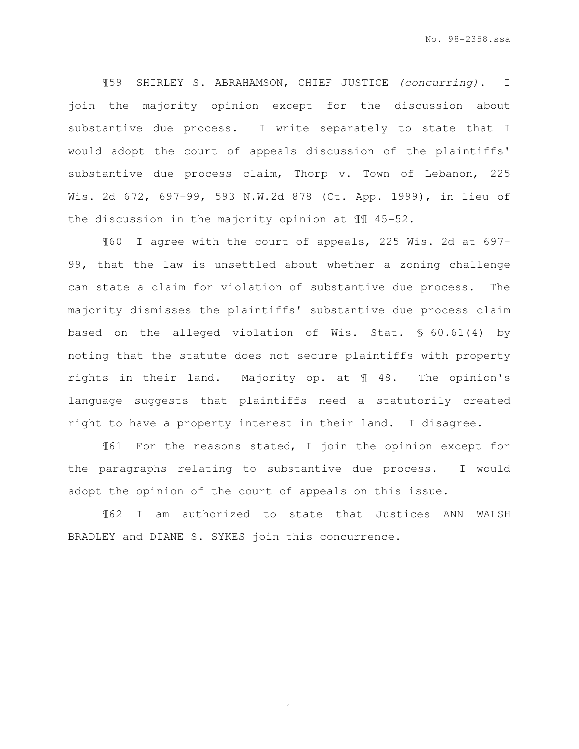¶59 SHIRLEY S. ABRAHAMSON, CHIEF JUSTICE (concurring). I join the majority opinion except for the discussion about substantive due process. I write separately to state that I would adopt the court of appeals discussion of the plaintiffs' substantive due process claim, Thorp v. Town of Lebanon, 225 Wis. 2d 672, 697-99, 593 N.W.2d 878 (Ct. App. 1999), in lieu of the discussion in the majority opinion at ¶¶ 45-52.

¶60 I agree with the court of appeals, 225 Wis. 2d at 697- 99, that the law is unsettled about whether a zoning challenge can state a claim for violation of substantive due process. The majority dismisses the plaintiffs' substantive due process claim based on the alleged violation of Wis. Stat. § 60.61(4) by noting that the statute does not secure plaintiffs with property rights in their land. Majority op. at ¶ 48. The opinion's language suggests that plaintiffs need a statutorily created right to have a property interest in their land. I disagree.

¶61 For the reasons stated, I join the opinion except for the paragraphs relating to substantive due process. I would adopt the opinion of the court of appeals on this issue.

¶62 I am authorized to state that Justices ANN WALSH BRADLEY and DIANE S. SYKES join this concurrence.